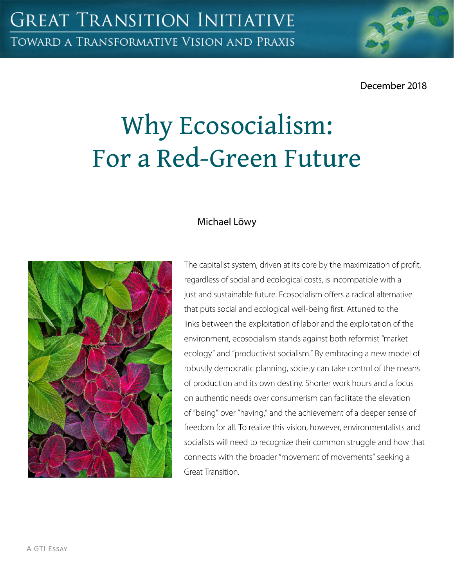December 2018

# Why Ecosocialism: For a Red-Green Future

## Michael Löwy



The capitalist system, driven at its core by the maximization of profit, regardless of social and ecological costs, is incompatible with a just and sustainable future. Ecosocialism offers a radical alternative that puts social and ecological well-being first. Attuned to the links between the exploitation of labor and the exploitation of the environment, ecosocialism stands against both reformist "market ecology" and "productivist socialism." By embracing a new model of robustly democratic planning, society can take control of the means of production and its own destiny. Shorter work hours and a focus on authentic needs over consumerism can facilitate the elevation of "being" over "having," and the achievement of a deeper sense of freedom for all. To realize this vision, however, environmentalists and socialists will need to recognize their common struggle and how that connects with the broader "movement of movements" seeking a Great Transition.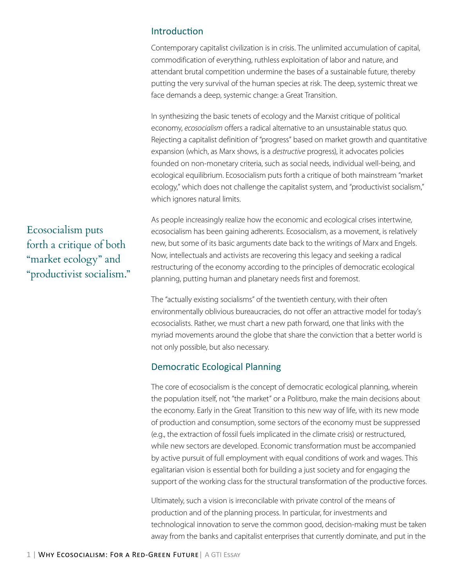#### Introduction

Contemporary capitalist civilization is in crisis. The unlimited accumulation of capital, commodification of everything, ruthless exploitation of labor and nature, and attendant brutal competition undermine the bases of a sustainable future, thereby putting the very survival of the human species at risk. The deep, systemic threat we face demands a deep, systemic change: a Great Transition.

In synthesizing the basic tenets of ecology and the Marxist critique of political economy, *ecosocialism* offers a radical alternative to an unsustainable status quo. Rejecting a capitalist definition of "progress" based on market growth and quantitative expansion (which, as Marx shows, is a *destructive* progress), it advocates policies founded on non-monetary criteria, such as social needs, individual well-being, and ecological equilibrium. Ecosocialism puts forth a critique of both mainstream "market ecology," which does not challenge the capitalist system, and "productivist socialism," which ignores natural limits.

As people increasingly realize how the economic and ecological crises intertwine, ecosocialism has been gaining adherents. Ecosocialism, as a movement, is relatively new, but some of its basic arguments date back to the writings of Marx and Engels. Now, intellectuals and activists are recovering this legacy and seeking a radical restructuring of the economy according to the principles of democratic ecological planning, putting human and planetary needs first and foremost.

The "actually existing socialisms" of the twentieth century, with their often environmentally oblivious bureaucracies, do not offer an attractive model for today's ecosocialists. Rather, we must chart a new path forward, one that links with the myriad movements around the globe that share the conviction that a better world is not only possible, but also necessary.

### Democratic Ecological Planning

The core of ecosocialism is the concept of democratic ecological planning, wherein the population itself, not "the market" or a Politburo, make the main decisions about the economy. Early in the Great Transition to this new way of life, with its new mode of production and consumption, some sectors of the economy must be suppressed (e.g., the extraction of fossil fuels implicated in the climate crisis) or restructured, while new sectors are developed. Economic transformation must be accompanied by active pursuit of full employment with equal conditions of work and wages. This egalitarian vision is essential both for building a just society and for engaging the support of the working class for the structural transformation of the productive forces.

Ultimately, such a vision is irreconcilable with private control of the means of production and of the planning process. In particular, for investments and technological innovation to serve the common good, decision-making must be taken away from the banks and capitalist enterprises that currently dominate, and put in the

Ecosocialism puts forth a critique of both "market ecology" and "productivist socialism."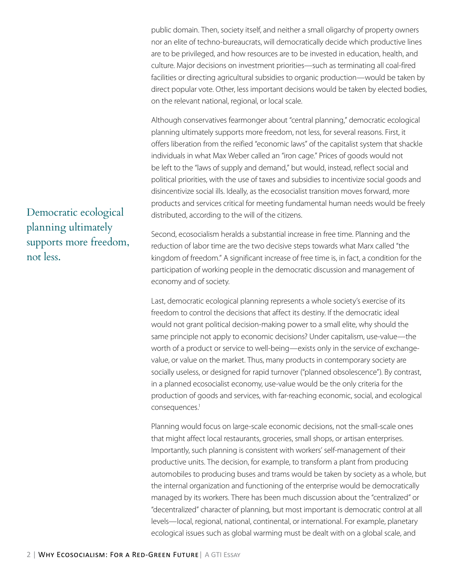public domain. Then, society itself, and neither a small oligarchy of property owners nor an elite of techno-bureaucrats, will democratically decide which productive lines are to be privileged, and how resources are to be invested in education, health, and culture. Major decisions on investment priorities—such as terminating all coal-fired facilities or directing agricultural subsidies to organic production—would be taken by direct popular vote. Other, less important decisions would be taken by elected bodies, on the relevant national, regional, or local scale.

Although conservatives fearmonger about "central planning," democratic ecological planning ultimately supports more freedom, not less, for several reasons. First, it offers liberation from the reified "economic laws" of the capitalist system that shackle individuals in what Max Weber called an "iron cage." Prices of goods would not be left to the "laws of supply and demand," but would, instead, reflect social and political priorities, with the use of taxes and subsidies to incentivize social goods and disincentivize social ills. Ideally, as the ecosocialist transition moves forward, more products and services critical for meeting fundamental human needs would be freely distributed, according to the will of the citizens.

Democratic ecological planning ultimately supports more freedom, not less.

Second, ecosocialism heralds a substantial increase in free time. Planning and the reduction of labor time are the two decisive steps towards what Marx called "the kingdom of freedom." A significant increase of free time is, in fact, a condition for the participation of working people in the democratic discussion and management of economy and of society.

Last, democratic ecological planning represents a whole society's exercise of its freedom to control the decisions that affect its destiny. If the democratic ideal would not grant political decision-making power to a small elite, why should the same principle not apply to economic decisions? Under capitalism, use-value—the worth of a product or service to well-being—exists only in the service of exchangevalue, or value on the market. Thus, many products in contemporary society are socially useless, or designed for rapid turnover ("planned obsolescence"). By contrast, in a planned ecosocialist economy, use-value would be the only criteria for the production of goods and services, with far-reaching economic, social, and ecological consequences.<sup>1</sup>

Planning would focus on large-scale economic decisions, not the small-scale ones that might affect local restaurants, groceries, small shops, or artisan enterprises. Importantly, such planning is consistent with workers' self-management of their productive units. The decision, for example, to transform a plant from producing automobiles to producing buses and trams would be taken by society as a whole, but the internal organization and functioning of the enterprise would be democratically managed by its workers. There has been much discussion about the "centralized" or "decentralized" character of planning, but most important is democratic control at all levels—local, regional, national, continental, or international. For example, planetary ecological issues such as global warming must be dealt with on a global scale, and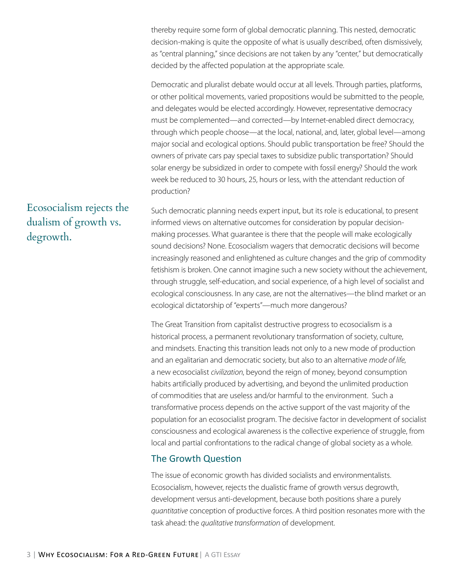thereby require some form of global democratic planning. This nested, democratic decision-making is quite the opposite of what is usually described, often dismissively, as "central planning," since decisions are not taken by any "center," but democratically decided by the affected population at the appropriate scale.

Democratic and pluralist debate would occur at all levels. Through parties, platforms, or other political movements, varied propositions would be submitted to the people, and delegates would be elected accordingly. However, representative democracy must be complemented—and corrected—by Internet-enabled direct democracy, through which people choose—at the local, national, and, later, global level—among major social and ecological options. Should public transportation be free? Should the owners of private cars pay special taxes to subsidize public transportation? Should solar energy be subsidized in order to compete with fossil energy? Should the work week be reduced to 30 hours, 25, hours or less, with the attendant reduction of production?

Ecosocialism rejects the dualism of growth vs. degrowth.

Such democratic planning needs expert input, but its role is educational, to present informed views on alternative outcomes for consideration by popular decisionmaking processes. What guarantee is there that the people will make ecologically sound decisions? None. Ecosocialism wagers that democratic decisions will become increasingly reasoned and enlightened as culture changes and the grip of commodity fetishism is broken. One cannot imagine such a new society without the achievement, through struggle, self-education, and social experience, of a high level of socialist and ecological consciousness. In any case, are not the alternatives—the blind market or an ecological dictatorship of "experts"—much more dangerous?

The Great Transition from capitalist destructive progress to ecosocialism is a historical process, a permanent revolutionary transformation of society, culture, and mindsets. Enacting this transition leads not only to a new mode of production and an egalitarian and democratic society, but also to an alternative *mode of life*, a new ecosocialist *civilization*, beyond the reign of money, beyond consumption habits artificially produced by advertising, and beyond the unlimited production of commodities that are useless and/or harmful to the environment. Such a transformative process depends on the active support of the vast majority of the population for an ecosocialist program. The decisive factor in development of socialist consciousness and ecological awareness is the collective experience of struggle, from local and partial confrontations to the radical change of global society as a whole.

#### The Growth Question

The issue of economic growth has divided socialists and environmentalists. Ecosocialism, however, rejects the dualistic frame of growth versus degrowth, development versus anti-development, because both positions share a purely *quantitative* conception of productive forces. A third position resonates more with the task ahead: the *qualitative transformation* of development.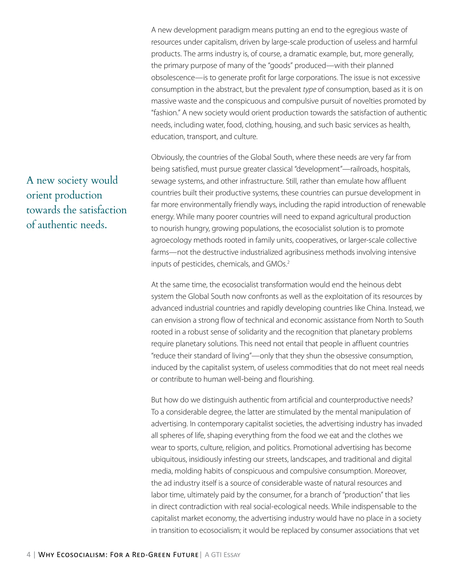A new development paradigm means putting an end to the egregious waste of resources under capitalism, driven by large-scale production of useless and harmful products. The arms industry is, of course, a dramatic example, but, more generally, the primary purpose of many of the "goods" produced—with their planned obsolescence—is to generate profit for large corporations. The issue is not excessive consumption in the abstract, but the prevalent *type* of consumption, based as it is on massive waste and the conspicuous and compulsive pursuit of novelties promoted by "fashion." A new society would orient production towards the satisfaction of authentic needs, including water, food, clothing, housing, and such basic services as health, education, transport, and culture.

Obviously, the countries of the Global South, where these needs are very far from being satisfied, must pursue greater classical "development"—railroads, hospitals, sewage systems, and other infrastructure. Still, rather than emulate how affluent countries built their productive systems, these countries can pursue development in far more environmentally friendly ways, including the rapid introduction of renewable energy. While many poorer countries will need to expand agricultural production to nourish hungry, growing populations, the ecosocialist solution is to promote agroecology methods rooted in family units, cooperatives, or larger-scale collective farms—not the destructive industrialized agribusiness methods involving intensive inputs of pesticides, chemicals, and GMOs.<sup>2</sup>

At the same time, the ecosocialist transformation would end the heinous debt system the Global South now confronts as well as the exploitation of its resources by advanced industrial countries and rapidly developing countries like China. Instead, we can envision a strong flow of technical and economic assistance from North to South rooted in a robust sense of solidarity and the recognition that planetary problems require planetary solutions. This need not entail that people in affluent countries "reduce their standard of living"—only that they shun the obsessive consumption, induced by the capitalist system, of useless commodities that do not meet real needs or contribute to human well-being and flourishing.

But how do we distinguish authentic from artificial and counterproductive needs? To a considerable degree, the latter are stimulated by the mental manipulation of advertising. In contemporary capitalist societies, the advertising industry has invaded all spheres of life, shaping everything from the food we eat and the clothes we wear to sports, culture, religion, and politics. Promotional advertising has become ubiquitous, insidiously infesting our streets, landscapes, and traditional and digital media, molding habits of conspicuous and compulsive consumption. Moreover, the ad industry itself is a source of considerable waste of natural resources and labor time, ultimately paid by the consumer, for a branch of "production" that lies in direct contradiction with real social-ecological needs. While indispensable to the capitalist market economy, the advertising industry would have no place in a society in transition to ecosocialism; it would be replaced by consumer associations that vet

A new society would orient production towards the satisfaction of authentic needs.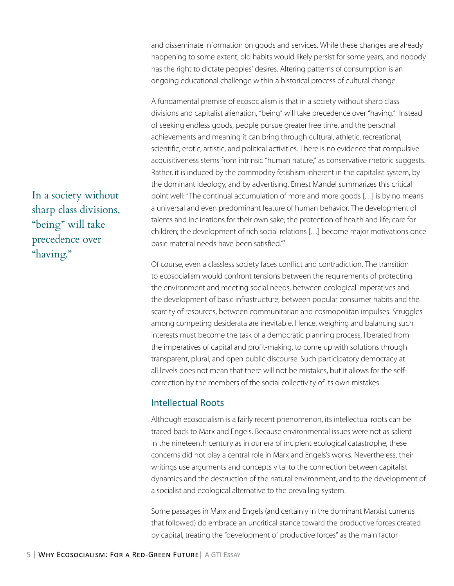and disseminate information on goods and services. While these changes are already happening to some extent, old habits would likely persist for some years, and nobody has the right to dictate peoples' desires. Altering patterns of consumption is an ongoing educational challenge within a historical process of cultural change.

A fundamental premise of ecosocialism is that in a society without sharp class divisions and capitalist alienation, "being" will take precedence over "having." Instead of seeking endless goods, people pursue greater free time, and the personal achievements and meaning it can bring through cultural, athletic, recreational, scientific, erotic, artistic, and political activities. There is no evidence that compulsive acquisitiveness stems from intrinsic "human nature," as conservative rhetoric suggests. Rather, it is induced by the commodity fetishism inherent in the capitalist system, by the dominant ideology, and by advertising. Ernest Mandel summarizes this critical point well: "The continual accumulation of more and more goods […] is by no means a universal and even predominant feature of human behavior. The development of talents and inclinations for their own sake; the protection of health and life; care for children; the development of rich social relations […] become major motivations once basic material needs have been satisfied."3

Of course, even a classless society faces conflict and contradiction. The transition to ecosocialism would confront tensions between the requirements of protecting the environment and meeting social needs, between ecological imperatives and the development of basic infrastructure, between popular consumer habits and the scarcity of resources, between communitarian and cosmopolitan impulses. Struggles among competing desiderata are inevitable. Hence, weighing and balancing such interests must become the task of a democratic planning process, liberated from the imperatives of capital and profit-making, to come up with solutions through transparent, plural, and open public discourse. Such participatory democracy at all levels does not mean that there will not be mistakes, but it allows for the selfcorrection by the members of the social collectivity of its own mistakes.

#### Intellectual Roots

Although ecosocialism is a fairly recent phenomenon, its intellectual roots can be traced back to Marx and Engels. Because environmental issues were not as salient in the nineteenth century as in our era of incipient ecological catastrophe, these concerns did not play a central role in Marx and Engels's works. Nevertheless, their writings use arguments and concepts vital to the connection between capitalist dynamics and the destruction of the natural environment, and to the development of a socialist and ecological alternative to the prevailing system.

Some passages in Marx and Engels (and certainly in the dominant Marxist currents that followed) do embrace an uncritical stance toward the productive forces created by capital, treating the "development of productive forces" as the main factor

In a society without sharp class divisions, "being" will take precedence over "having."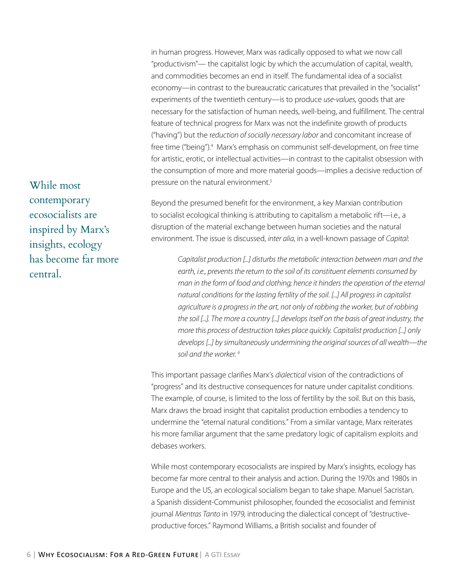in human progress. However, Marx was radically opposed to what we now call "productivism"— the capitalist logic by which the accumulation of capital, wealth, and commodities becomes an end in itself. The fundamental idea of a socialist economy—in contrast to the bureaucratic caricatures that prevailed in the "socialist" experiments of the twentieth century—is to produce *use-values*, goods that are necessary for the satisfaction of human needs, well-being, and fulfillment. The central feature of technical progress for Marx was not the indefinite growth of products ("having") but the r*eduction of socially necessary labor* and concomitant increase of free time ("being").4 Marx's emphasis on communist self-development, on free time for artistic, erotic, or intellectual activities—in contrast to the capitalist obsession with the consumption of more and more material goods—implies a decisive reduction of pressure on the natural environment.<sup>5</sup>

Beyond the presumed benefit for the environment, a key Marxian contribution to socialist ecological thinking is attributing to capitalism a metabolic rift—i.e., a disruption of the material exchange between human societies and the natural environment. The issue is discussed, *inter alia*, in a well-known passage of *Capital*:

*Capitalist production [...] disturbs the metabolic interaction between man and the earth, i.e., prevents the return to the soil of its constituent elements consumed by man in the form of food and clothing; hence it hinders the operation of the eternal natural conditions for the lasting fertility of the soil. [...] All progress in capitalist agriculture is a progress in the art, not only of robbing the worker, but of robbing the soil [...]. The more a country [...] develops itself on the basis of great industry, the more this process of destruction takes place quickly. Capitalist production [...] only develops [...] by simultaneously undermining the original sources of all wealth—the soil and the worker. 6*

This important passage clarifies Marx's *dialectical* vision of the contradictions of "progress" and its destructive consequences for nature under capitalist conditions. The example, of course, is limited to the loss of fertility by the soil. But on this basis, Marx draws the broad insight that capitalist production embodies a tendency to undermine the "eternal natural conditions." From a similar vantage, Marx reiterates his more familiar argument that the same predatory logic of capitalism exploits and debases workers.

While most contemporary ecosocialists are inspired by Marx's insights, ecology has become far more central to their analysis and action. During the 1970s and 1980s in Europe and the US, an ecological socialism began to take shape. Manuel Sacristan, a Spanish dissident-Communist philosopher, founded the ecosocialist and feminist journal *Mientras Tanto* in 1979, introducing the dialectical concept of "destructiveproductive forces." Raymond Williams, a British socialist and founder of

While most contemporary ecosocialists are inspired by Marx's insights, ecology has become far more central.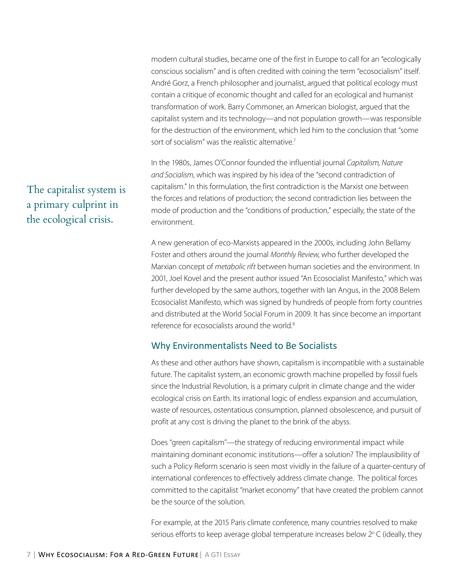modern cultural studies, became one of the first in Europe to call for an "ecologically conscious socialism" and is often credited with coining the term "ecosocialism" itself. André Gorz, a French philosopher and journalist, argued that political ecology must contain a critique of economic thought and called for an ecological and humanist transformation of work. Barry Commoner, an American biologist, argued that the capitalist system and its technology—and not population growth—was responsible for the destruction of the environment, which led him to the conclusion that "some sort of socialism" was the realistic alternative.<sup>7</sup>

In the 1980s, James O'Connor founded the influential journal *Capitalism, Nature and Socialism*, which was inspired by his idea of the "second contradiction of capitalism." In this formulation, the first contradiction is the Marxist one between the forces and relations of production; the second contradiction lies between the mode of production and the "conditions of production," especially, the state of the environment.

A new generation of eco-Marxists appeared in the 2000s, including John Bellamy Foster and others around the journal *Monthly Review*, who further developed the Marxian concept of *metabolic rift* between human societies and the environment. In 2001, Joel Kovel and the present author issued "An Ecosocialist Manifesto," which was further developed by the same authors, together with Ian Angus, in the 2008 Belem Ecosocialist Manifesto, which was signed by hundreds of people from forty countries and distributed at the World Social Forum in 2009. It has since become an important reference for ecosocialists around the world.<sup>8</sup>

#### Why Environmentalists Need to Be Socialists

As these and other authors have shown, capitalism is incompatible with a sustainable future. The capitalist system, an economic growth machine propelled by fossil fuels since the Industrial Revolution, is a primary culprit in climate change and the wider ecological crisis on Earth. Its irrational logic of endless expansion and accumulation, waste of resources, ostentatious consumption, planned obsolescence, and pursuit of profit at any cost is driving the planet to the brink of the abyss.

Does "green capitalism"—the strategy of reducing environmental impact while maintaining dominant economic institutions—offer a solution? The implausibility of such a Policy Reform scenario is seen most vividly in the failure of a quarter-century of international conferences to effectively address climate change. The political forces committed to the capitalist "market economy" that have created the problem cannot be the source of the solution.

For example, at the 2015 Paris climate conference, many countries resolved to make serious efforts to keep average global temperature increases below 2° C (ideally, they

The capitalist system is a primary culprint in the ecological crisis.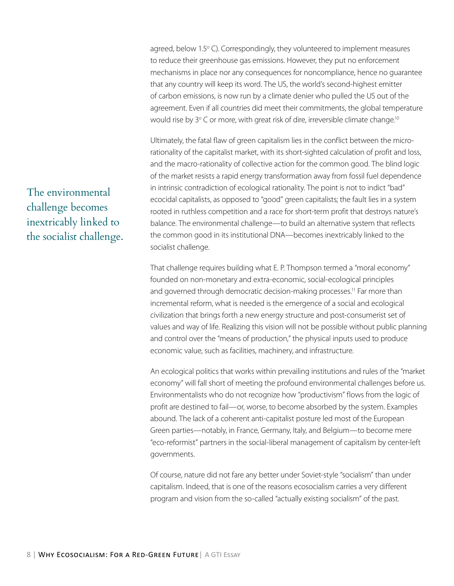agreed, below 1.5° C). Correspondingly, they volunteered to implement measures to reduce their greenhouse gas emissions. However, they put no enforcement mechanisms in place nor any consequences for noncompliance, hence no guarantee that any country will keep its word. The US, the world's second-highest emitter of carbon emissions, is now run by a climate denier who pulled the US out of the agreement. Even if all countries did meet their commitments, the global temperature would rise by 3° C or more, with great risk of dire, irreversible climate change.<sup>10</sup>

Ultimately, the fatal flaw of green capitalism lies in the conflict between the microrationality of the capitalist market, with its short-sighted calculation of profit and loss, and the macro-rationality of collective action for the common good. The blind logic of the market resists a rapid energy transformation away from fossil fuel dependence in intrinsic contradiction of ecological rationality. The point is not to indict "bad" ecocidal capitalists, as opposed to "good" green capitalists; the fault lies in a system rooted in ruthless competition and a race for short-term profit that destroys nature's balance. The environmental challenge—to build an alternative system that reflects the common good in its institutional DNA—becomes inextricably linked to the socialist challenge.

That challenge requires building what E. P. Thompson termed a "moral economy" founded on non-monetary and extra-economic, social-ecological principles and governed through democratic decision-making processes.<sup>11</sup> Far more than incremental reform, what is needed is the emergence of a social and ecological civilization that brings forth a new energy structure and post-consumerist set of values and way of life. Realizing this vision will not be possible without public planning and control over the "means of production," the physical inputs used to produce economic value, such as facilities, machinery, and infrastructure.

An ecological politics that works within prevailing institutions and rules of the "market economy" will fall short of meeting the profound environmental challenges before us. Environmentalists who do not recognize how "productivism" flows from the logic of profit are destined to fail—or, worse, to become absorbed by the system. Examples abound. The lack of a coherent anti-capitalist posture led most of the European Green parties—notably, in France, Germany, Italy, and Belgium—to become mere "eco-reformist" partners in the social-liberal management of capitalism by center-left governments.

Of course, nature did not fare any better under Soviet-style "socialism" than under capitalism. Indeed, that is one of the reasons ecosocialism carries a very different program and vision from the so-called "actually existing socialism" of the past.

The environmental challenge becomes inextricably linked to the socialist challenge.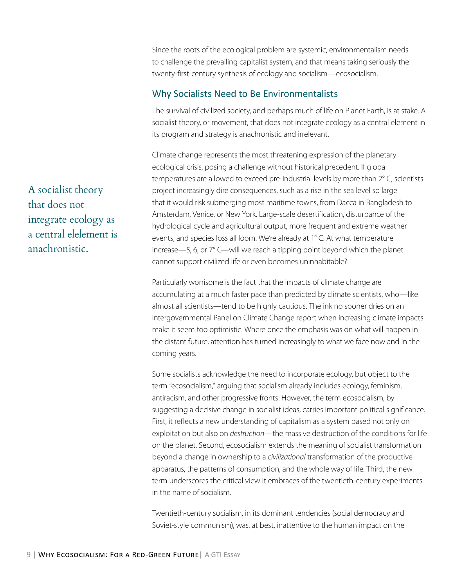Since the roots of the ecological problem are systemic, environmentalism needs to challenge the prevailing capitalist system, and that means taking seriously the twenty-first-century synthesis of ecology and socialism—ecosocialism.

### Why Socialists Need to Be Environmentalists

The survival of civilized society, and perhaps much of life on Planet Earth, is at stake. A socialist theory, or movement, that does not integrate ecology as a central element in its program and strategy is anachronistic and irrelevant.

Climate change represents the most threatening expression of the planetary ecological crisis, posing a challenge without historical precedent. If global temperatures are allowed to exceed pre-industrial levels by more than 2° C, scientists project increasingly dire consequences, such as a rise in the sea level so large that it would risk submerging most maritime towns, from Dacca in Bangladesh to Amsterdam, Venice, or New York. Large-scale desertification, disturbance of the hydrological cycle and agricultural output, more frequent and extreme weather events, and species loss all loom. We're already at 1° C. At what temperature increase—5, 6, or 7° C—will we reach a tipping point beyond which the planet cannot support civilized life or even becomes uninhabitable?

Particularly worrisome is the fact that the impacts of climate change are accumulating at a much faster pace than predicted by climate scientists, who—like almost all scientists—tend to be highly cautious. The ink no sooner dries on an Intergovernmental Panel on Climate Change report when increasing climate impacts make it seem too optimistic. Where once the emphasis was on what will happen in the distant future, attention has turned increasingly to what we face now and in the coming years.

Some socialists acknowledge the need to incorporate ecology, but object to the term "ecosocialism," arguing that socialism already includes ecology, feminism, antiracism, and other progressive fronts. However, the term ecosocialism, by suggesting a decisive change in socialist ideas, carries important political significance. First, it reflects a new understanding of capitalism as a system based not only on exploitation but also on *destruction*—the massive destruction of the conditions for life on the planet. Second, ecosocialism extends the meaning of socialist transformation beyond a change in ownership to a *civilizational* transformation of the productive apparatus, the patterns of consumption, and the whole way of life. Third, the new term underscores the critical view it embraces of the twentieth-century experiments in the name of socialism.

Twentieth-century socialism, in its dominant tendencies (social democracy and Soviet-style communism), was, at best, inattentive to the human impact on the

A socialist theory that does not integrate ecology as a central elelement is anachronistic.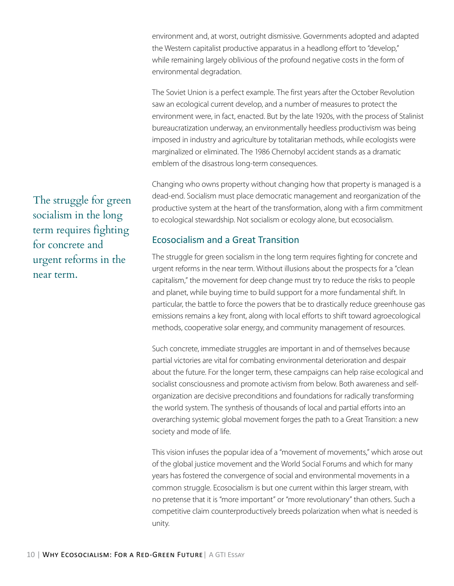environment and, at worst, outright dismissive. Governments adopted and adapted the Western capitalist productive apparatus in a headlong effort to "develop," while remaining largely oblivious of the profound negative costs in the form of environmental degradation.

The Soviet Union is a perfect example. The first years after the October Revolution saw an ecological current develop, and a number of measures to protect the environment were, in fact, enacted. But by the late 1920s, with the process of Stalinist bureaucratization underway, an environmentally heedless productivism was being imposed in industry and agriculture by totalitarian methods, while ecologists were marginalized or eliminated. The 1986 Chernobyl accident stands as a dramatic emblem of the disastrous long-term consequences.

Changing who owns property without changing how that property is managed is a dead-end. Socialism must place democratic management and reorganization of the productive system at the heart of the transformation, along with a firm commitment to ecological stewardship. Not socialism or ecology alone, but ecosocialism.

### Ecosocialism and a Great Transition

The struggle for green socialism in the long term requires fighting for concrete and urgent reforms in the near term. Without illusions about the prospects for a "clean capitalism," the movement for deep change must try to reduce the risks to people and planet, while buying time to build support for a more fundamental shift. In particular, the battle to force the powers that be to drastically reduce greenhouse gas emissions remains a key front, along with local efforts to shift toward agroecological methods, cooperative solar energy, and community management of resources.

Such concrete, immediate struggles are important in and of themselves because partial victories are vital for combating environmental deterioration and despair about the future. For the longer term, these campaigns can help raise ecological and socialist consciousness and promote activism from below. Both awareness and selforganization are decisive preconditions and foundations for radically transforming the world system. The synthesis of thousands of local and partial efforts into an overarching systemic global movement forges the path to a Great Transition: a new society and mode of life.

This vision infuses the popular idea of a "movement of movements," which arose out of the global justice movement and the World Social Forums and which for many years has fostered the convergence of social and environmental movements in a common struggle. Ecosocialism is but one current within this larger stream, with no pretense that it is "more important" or "more revolutionary" than others. Such a competitive claim counterproductively breeds polarization when what is needed is unity.

The struggle for green socialism in the long term requires fighting for concrete and urgent reforms in the near term.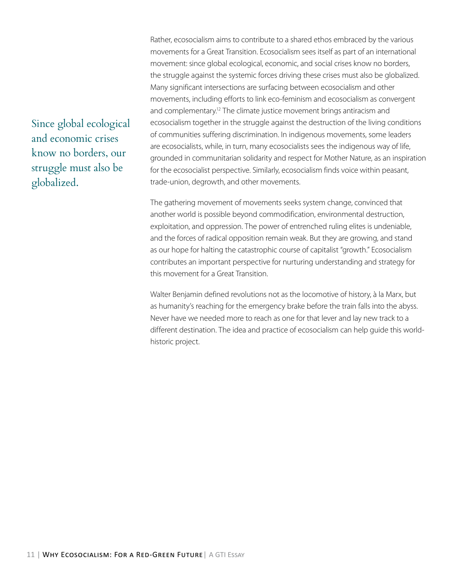Since global ecological and economic crises know no borders, our struggle must also be globalized.

Rather, ecosocialism aims to contribute to a shared ethos embraced by the various movements for a Great Transition. Ecosocialism sees itself as part of an international movement: since global ecological, economic, and social crises know no borders, the struggle against the systemic forces driving these crises must also be globalized. Many significant intersections are surfacing between ecosocialism and other movements, including efforts to link eco-feminism and ecosocialism as convergent and complementary.<sup>12</sup> The climate justice movement brings antiracism and ecosocialism together in the struggle against the destruction of the living conditions of communities suffering discrimination. In indigenous movements, some leaders are ecosocialists, while, in turn, many ecosocialists sees the indigenous way of life, grounded in communitarian solidarity and respect for Mother Nature, as an inspiration for the ecosocialist perspective. Similarly, ecosocialism finds voice within peasant, trade-union, degrowth, and other movements.

The gathering movement of movements seeks system change, convinced that another world is possible beyond commodification, environmental destruction, exploitation, and oppression. The power of entrenched ruling elites is undeniable, and the forces of radical opposition remain weak. But they are growing, and stand as our hope for halting the catastrophic course of capitalist "growth." Ecosocialism contributes an important perspective for nurturing understanding and strategy for this movement for a Great Transition.

Walter Benjamin defined revolutions not as the locomotive of history, à la Marx, but as humanity's reaching for the emergency brake before the train falls into the abyss. Never have we needed more to reach as one for that lever and lay new track to a different destination. The idea and practice of ecosocialism can help guide this worldhistoric project.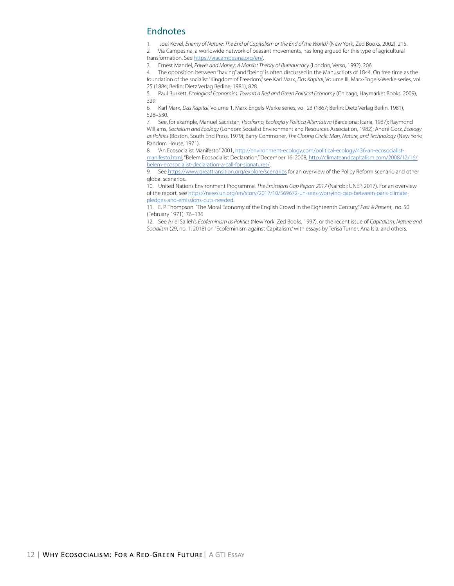#### Endnotes

1. Joel Kovel, *Enemy of Nature: The End of Capitalism or the End of the World?* (New York, Zed Books, 2002), 215.

2. Via Campesina, a worldwide network of peasant movements, has long argued for this type of agricultural transformation. See [https://viacampesina.org/en/.](https://viacampesina.org/en/)

3. Ernest Mandel, *Power and Money: A Marxist Theory of Bureaucracy* (London, Verso, 1992), 206.

4. The opposition between "having" and "being" is often discussed in the Manuscripts of 1844. On free time as the foundation of the socialist "Kingdom of Freedom," see Karl Marx, *Das Kapital*, Volume III, Marx-Engels-Werke series, vol. 25 (1884; Berlin: Dietz Verlag Berline, 1981), 828.

5. Paul Burkett, *Ecological Economics: Toward a Red and Green Political Economy* (Chicago, Haymarket Books, 2009), 329.

6. Karl Marx, *Das Kapital*, Volume 1, Marx-Engels-Werke series, vol. 23 (1867; Berlin: Dietz Verlag Berlin, 1981), 528–530.

7. See, for example, Manuel Sacristan, *Pacifismo, Ecología y Política Alternativa* (Barcelona: Icaria, 1987); Raymond Williams, *Socialism and Ecology* (London: Socialist Environment and Resources Association, 1982); André Gorz, *Ecology as Politics* (Boston, South End Press, 1979); Barry Commoner, *The Closing Circle: Man, Nature, and Technology* (New York: Random House, 1971).

8. "An Ecosocialist Manifesto," 2001, [http://environment-ecology.com/political-ecology/436-an-ecosocialist](http://environment-ecology.com/political-ecology/436-an-ecosocialist-manifesto.html)[manifesto.html;](http://environment-ecology.com/political-ecology/436-an-ecosocialist-manifesto.html) "Belem Ecosocialist Declaration," December 16, 2008, [http://climateandcapitalism.com/2008/12/16/](http://climateandcapitalism.com/2008/12/16/belem-ecosocialist-declaration-a-call-for-signatures/) [belem-ecosocialist-declaration-a-call-for-signatures/.](http://climateandcapitalism.com/2008/12/16/belem-ecosocialist-declaration-a-call-for-signatures/)

9. See <https://www.greattransition.org/explore/scenarios> for an overview of the Policy Reform scenario and other global scenarios.

10. United Nations Environment Programme, *The Emissions Gap Report 2017* (Nairobi: UNEP, 2017). For an overview of the report, see [https://news.un.org/en/story/2017/10/569672-un-sees-worrying-gap-between-paris-climate](https://news.un.org/en/story/2017/10/569672-un-sees-worrying-gap-between-paris-climate-pledges-and-emissions-cuts-needed)[pledges-and-emissions-cuts-needed.](https://news.un.org/en/story/2017/10/569672-un-sees-worrying-gap-between-paris-climate-pledges-and-emissions-cuts-needed)

11. E. P. Thompson "The Moral Economy of the English Crowd in the Eighteenth Century," *Past & Present*, no. 50 (February 1971): 76–136

12. See Ariel Salleh's *Ecofeminism as Politics* (New York: Zed Books, 1997), or the recent issue of *Capitalism, Nature and Socialism* (29, no. 1: 2018) on "Ecofeminism against Capitalism," with essays by Terisa Turner, Ana Isla, and others.